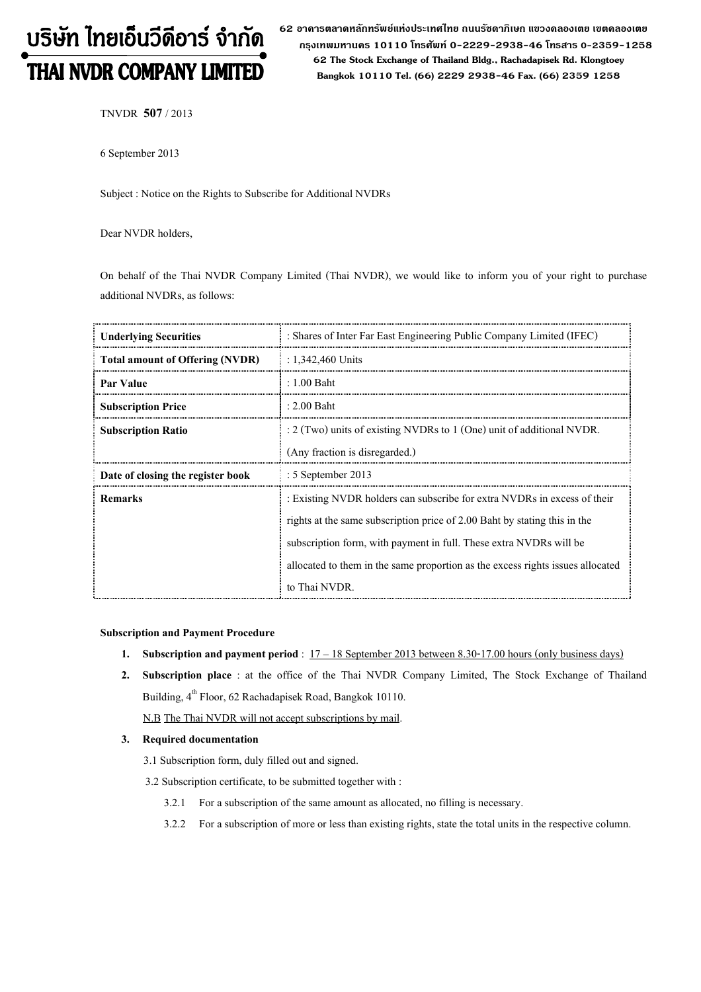# บริษัท ไทยเอ็นวีดีอาร์ จำกัด THAI NVDR COMPANY LIMITED

62 อาดารตลาดหลักทรัพย์แห่งประเทศไทย ถนนรัซดาภิเษก แขวงดลองเตย เขตดลองเตย กรุงเทพมหานดร 10110 โทรศัพท์ 0-2229-2938-46 โทรสาร 0-2359-1258 62 The Stock Exchange of Thailand Bldg., Rachadapisek Rd. Klongtoey Bangkok 10110 Tel. (66) 2229 2938-46 Fax. (66) 2359 1258

TNVDR 507 / 2013

6 September 2013

Subject : Notice on the Rights to Subscribe for Additional NVDRs

Dear NVDR holders,

On behalf of the Thai NVDR Company Limited (Thai NVDR), we would like to inform you of your right to purchase additional NVDRs, as follows:

| <b>Underlying Securities</b>           | : Shares of Inter Far East Engineering Public Company Limited (IFEC)           |  |
|----------------------------------------|--------------------------------------------------------------------------------|--|
| <b>Total amount of Offering (NVDR)</b> | : $1,342,460$ Units                                                            |  |
| Par Value                              | $: 1.00$ Baht                                                                  |  |
| <b>Subscription Price</b>              | $: 2.00$ Baht                                                                  |  |
| <b>Subscription Ratio</b>              | $: 2$ (Two) units of existing NVDRs to 1 (One) unit of additional NVDR.        |  |
|                                        | (Any fraction is disregarded.)                                                 |  |
| Date of closing the register book      | $: 5$ September 2013                                                           |  |
| <b>Remarks</b>                         | : Existing NVDR holders can subscribe for extra NVDRs in excess of their       |  |
|                                        | rights at the same subscription price of 2.00 Baht by stating this in the      |  |
|                                        | subscription form, with payment in full. These extra NVDRs will be             |  |
|                                        | allocated to them in the same proportion as the excess rights issues allocated |  |
|                                        | to Thai NVDR.                                                                  |  |

### Subscription and Payment Procedure

- 1. Subscription and payment period :  $17 18$  September 2013 between 8.30-17.00 hours (only business days)
- 2. Subscription place : at the office of the Thai NVDR Company Limited, The Stock Exchange of Thailand Building, 4<sup>th</sup> Floor, 62 Rachadapisek Road, Bangkok 10110.

N.B The Thai NVDR will not accept subscriptions by mail.

## 3. Required documentation

- 3.1 Subscription form, duly filled out and signed.
- 3.2 Subscription certificate, to be submitted together with :
	- 3.2.1 For a subscription of the same amount as allocated, no filling is necessary.
	- 3.2.2 For a subscription of more or less than existing rights, state the total units in the respective column.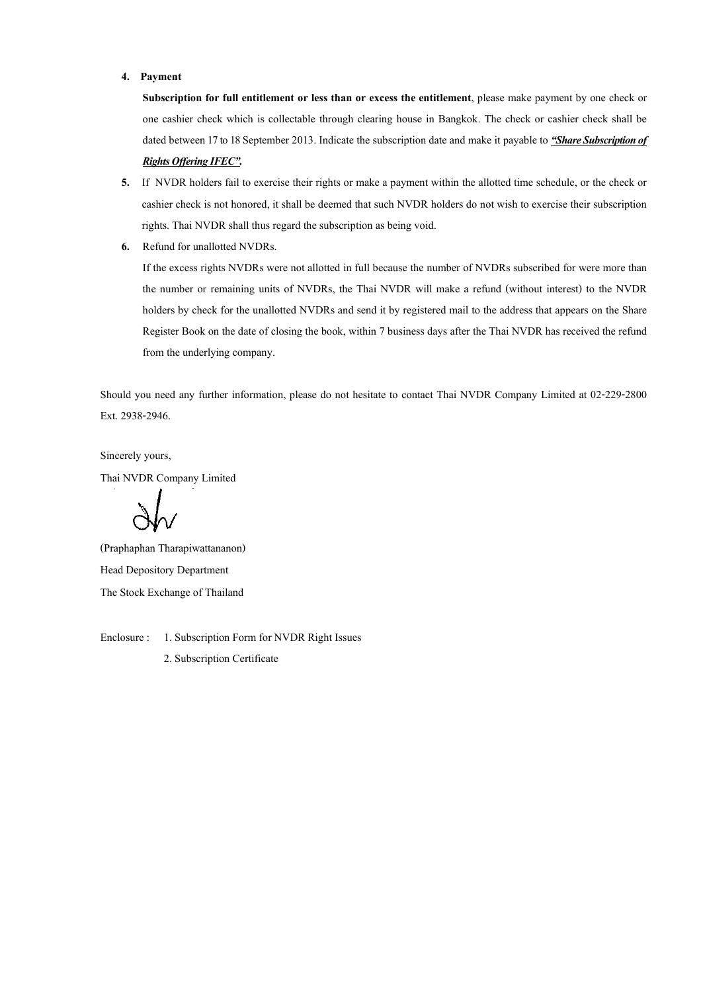#### 4. Payment

Subscription for full entitlement or less than or excess the entitlement, please make payment by one check or one cashier check which is collectable through clearing house in Bangkok. The check or cashier check shall be dated between 17 to 18 September 2013. Indicate the subscription date and make it payable to "Share Subscription of **Rights Offering IFEC".** 

- 5. If NVDR holders fail to exercise their rights or make a payment within the allotted time schedule, or the check or cashier check is not honored, it shall be deemed that such NVDR holders do not wish to exercise their subscription rights. Thai NVDR shall thus regard the subscription as being void.
- 6. Refund for unallotted NVDRs.

If the excess rights NVDRs were not allotted in full because the number of NVDRs subscribed for were more than the number or remaining units of NVDRs, the Thai NVDR will make a refund (without interest) to the NVDR holders by check for the unallotted NVDRs and send it by registered mail to the address that appears on the Share Register Book on the date of closing the book, within 7 business days after the Thai NVDR has received the refund from the underlying company.

Should you need any further information, please do not hesitate to contact Thai NVDR Company Limited at 02-229-2800 Ext. 2938-2946.

Sincerely yours,

Thai NVDR Company Limited

(Praphaphan Tharapiwattananon) Head Depository Department The Stock Exchange of Thailand

Enclosure : 1. Subscription Form for NVDR Right Issues 2. Subscription Certificate